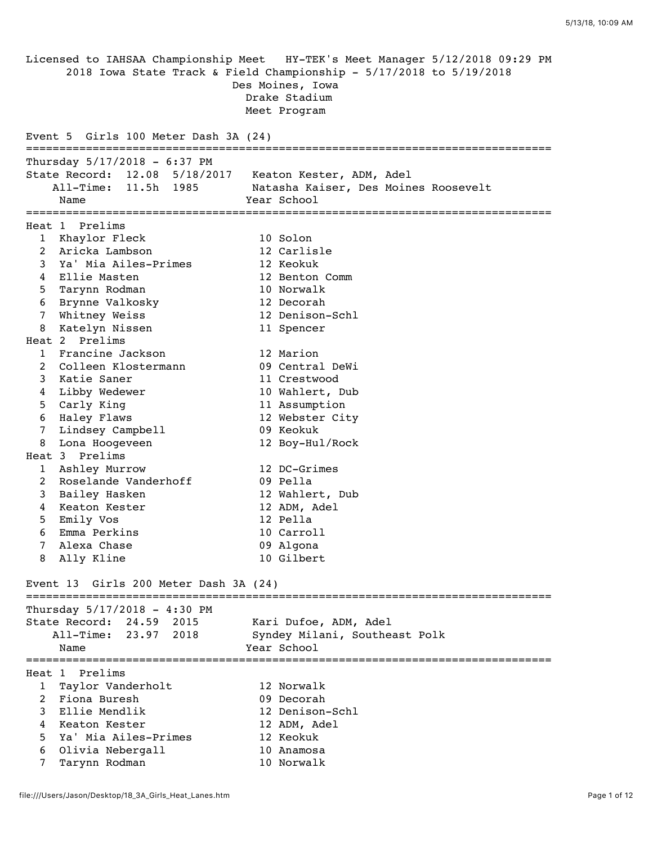Licensed to IAHSAA Championship Meet HY-TEK's Meet Manager 5/12/2018 09:29 PM 2018 Iowa State Track & Field Championship - 5/17/2018 to 5/19/2018 Des Moines, Iowa Drake Stadium Meet Program Event 5 Girls 100 Meter Dash 3A (24) =============================================================================== Thursday 5/17/2018 - 6:37 PM State Record: 12.08 5/18/2017 Keaton Kester, ADM, Adel All-Time: 11.5h 1985 Natasha Kaiser, Des Moines Roosevelt Name Year School =============================================================================== Heat 1 Prelims 1 Khaylor Fleck 10 Solon 2 Aricka Lambson 12 Carlisle 3 Ya' Mia Ailes-Primes 12 Keokuk 4 Ellie Masten 12 Benton Comm 5 Tarynn Rodman 10 Norwalk 6 Brynne Valkosky 12 Decorah 7 Whitney Weiss 12 Denison-Schl 8 Katelyn Nissen 11 Spencer Heat 2 Prelims 1 Francine Jackson 12 Marion 2 Colleen Klostermann 09 Central DeWi 3 Katie Saner 11 Crestwood 4 Libby Wedewer 10 Wahlert, Dub 5 Carly King 11 Assumption 6 Haley Flaws 12 Webster City 7 Lindsey Campbell 09 Keokuk 8 Lona Hoogeveen 12 Boy-Hul/Rock Heat 3 Prelims 1 Ashley Murrow 12 DC-Grimes 2 Roselande Vanderhoff 09 Pella 3 Bailey Hasken 12 Wahlert, Dub 4 Keaton Kester 12 ADM, Adel 5 Emily Vos 12 Pella 6 Emma Perkins 10 Carroll 6 Enuna Fernando<br>7 Alexa Chase 09 Algona<br>10 Gilbert 8 Ally Kline 10 Gilbert Event 13 Girls 200 Meter Dash 3A (24) =============================================================================== Thursday 5/17/2018 - 4:30 PM State Record: 24.59 2015 Kari Dufoe, ADM, Adel All-Time: 23.97 2018 Syndey Milani, Southeast Polk Name **Year** School =============================================================================== Heat 1 Prelims 1 Taylor Vanderholt 12 Norwalk 2 Fiona Buresh 09 Decorah 3 Ellie Mendlik 12 Denison-Schl 4 Keaton Kester 12 ADM, Adel 5 Ya' Mia Ailes-Primes 12 Keokuk 6 Olivia Nebergall 10 Anamosa 7 Tarynn Rodman 10 Norwalk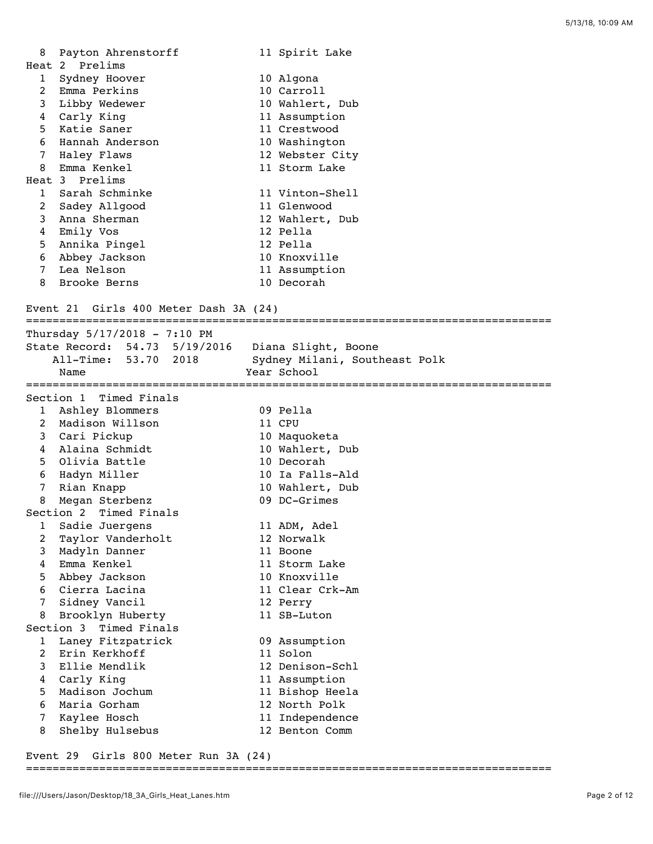| 8              | Payton Ahrenstorff | 11 Spirit Lake  |
|----------------|--------------------|-----------------|
|                | Heat 2 Prelims     |                 |
| 1              | Sydney Hoover      | 10 Algona       |
|                | 2 Emma Perkins     | 10 Carroll      |
|                | 3 Libby Wedewer    | 10 Wahlert, Dub |
| 4              | Carly King         | 11 Assumption   |
|                | 5 Katie Saner      | 11 Crestwood    |
|                | 6 Hannah Anderson  | 10 Washington   |
| 7              | Haley Flaws        | 12 Webster City |
|                | 8 Emma Kenkel      | 11 Storm Lake   |
|                | Heat 3 Prelims     |                 |
|                | 1 Sarah Schminke   | 11 Vinton-Shell |
| $\overline{2}$ | Sadey Allgood      | 11 Glenwood     |
| $\mathbf{3}$   | Anna Sherman       | 12 Wahlert, Dub |
| 4              | Emily Vos          | 12 Pella        |
|                | 5 Annika Pingel    | 12 Pella        |
| 6              | Abbey Jackson      | 10 Knoxville    |
| 7              | Lea Nelson         | 11 Assumption   |
| 8              | Brooke Berns       | 10 Decorah      |
|                |                    |                 |

## Event 21 Girls 400 Meter Dash 3A (24)

| =================================   |                               |
|-------------------------------------|-------------------------------|
| Thursday $5/17/2018 - 7:10$ PM      |                               |
| State Record: 54.73 5/19/2016       | Diana Slight, Boone           |
| All-Time: 53.70 2018                | Sydney Milani, Southeast Polk |
| Name                                | Year School                   |
|                                     |                               |
| Section 1 Timed Finals              |                               |
| Ashley Blommers<br>1                | 09 Pella                      |
| Madison Willson<br>2                | 11 CPU                        |
| 3<br>Cari Pickup                    | 10 Maquoketa                  |
| Alaina Schmidt<br>4                 | 10 Wahlert, Dub               |
| 5<br>Olivia Battle                  | 10 Decorah                    |
| Hadyn Miller<br>6                   | 10 Ia Falls-Ald               |
| 7<br>Rian Knapp                     | 10 Wahlert, Dub               |
| Megan Sterbenz<br>8                 | 09 DC-Grimes                  |
| Section 2 Timed Finals              |                               |
| 1<br>Sadie Juergens                 | 11 ADM, Adel                  |
| Taylor Vanderholt<br>$\overline{2}$ | 12 Norwalk                    |
| Madyln Danner<br>3                  | 11 Boone                      |
| Emma Kenkel<br>4                    | 11 Storm Lake                 |
| 5<br>Abbey Jackson                  | 10 Knoxville                  |
| Cierra Lacina<br>6                  | 11 Clear Crk-Am               |
| 7<br>Sidney Vancil                  | 12 Perry                      |
| Brooklyn Huberty<br>8               | 11 SB-Luton                   |
| Timed Finals<br>Section 3           |                               |
| Laney Fitzpatrick<br>$\mathbf{1}$   | 09 Assumption                 |
| $\overline{2}$<br>Erin Kerkhoff     | 11 Solon                      |
| Ellie Mendlik<br>3                  | 12 Denison-Schl               |
| 4<br>Carly King                     | 11 Assumption                 |
| Madison Jochum<br>5                 | 11 Bishop Heela               |
| 6<br>Maria Gorham                   | 12 North Polk                 |
| 7<br>Kaylee Hosch                   | 11 Independence               |
| 8<br>Shelby Hulsebus                | 12 Benton Comm                |

## Event 29 Girls 800 Meter Run 3A (24)

## ===============================================================================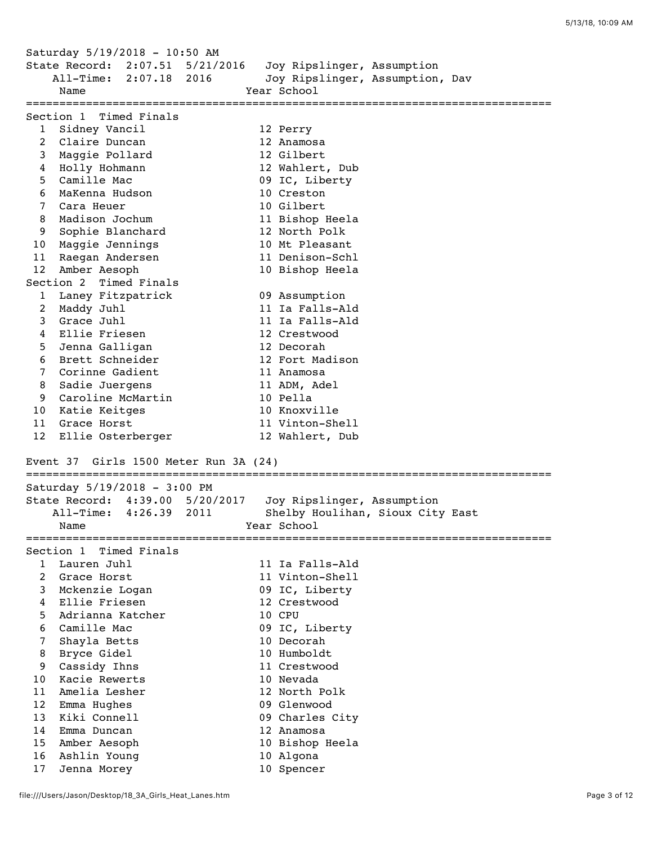Saturday 5/19/2018 - 10:50 AM State Record: 2:07.51 5/21/2016 Joy Ripslinger, Assumption All-Time: 2:07.18 2016 Joy Ripslinger, Assumption, Dav Name The Charles of Tear School =============================================================================== Section 1 Timed Finals 1 Sidney Vancil 12 Perry 2 Claire Duncan 12 Anamosa 3 Maggie Pollard 12 Gilbert 4 Holly Hohmann 12 Wahlert, Dub 5 Camille Mac 69 IC, Liberty 6 MaKenna Hudson 10 Creston 7 Cara Heuer 10 Gilbert 8 Madison Jochum 11 Bishop Heela 9 Sophie Blanchard 12 North Polk 10 Maggie Jennings 10 Mt Pleasant 11 Raegan Andersen 11 Denison-Schl 12 Amber Aesoph 10 Bishop Heela Section 2 Timed Finals 1 Laney Fitzpatrick 09 Assumption 2 Maddy Juhl 11 Ia Falls-Ald 3 Grace Juhl 11 Ia Falls-Ald 4 Ellie Friesen 12 Crestwood 5 Jenna Galligan 12 Decorah 6 Brett Schneider 12 Fort Madison 7 Corinne Gadient 11 Anamosa 8 Sadie Juergens 11 ADM, Adel 9 Caroline McMartin 10 Pella 10 Katie Keitges 10 Knoxville 11 Grace Horst 11 Vinton-Shell 12 Ellie Osterberger 12 Wahlert, Dub Event 37 Girls 1500 Meter Run 3A (24) =============================================================================== Saturday 5/19/2018 - 3:00 PM State Record: 4:39.00 5/20/2017 Joy Ripslinger, Assumption All-Time: 4:26.39 2011 Shelby Houlihan, Sioux City East Name **Year** School =============================================================================== Section 1 Timed Finals 1 Lauren Juhl 11 Ia Falls-Ald 2 Grace Horst 11 Vinton-Shell 3 Mckenzie Logan 09 IC, Liberty 4 Ellie Friesen 12 Crestwood 5 Adrianna Katcher 10 CPU 6 Camille Mac 09 IC, Liberty 7 Shayla Betts 10 Decorah 8 Bryce Gidel 10 Humboldt 9 Cassidy Ihns 11 Crestwood 10 Kacie Rewerts 10 Nevada 11 Amelia Lesher 12 North Polk 12 Emma Hughes 09 Glenwood 13 Kiki Connell 09 Charles City 14 Emma Duncan 12 Anamosa 15 Amber Aesoph 10 Bishop Heela 16 Ashlin Young 10 Algona 17 Jenna Morey 10 Spencer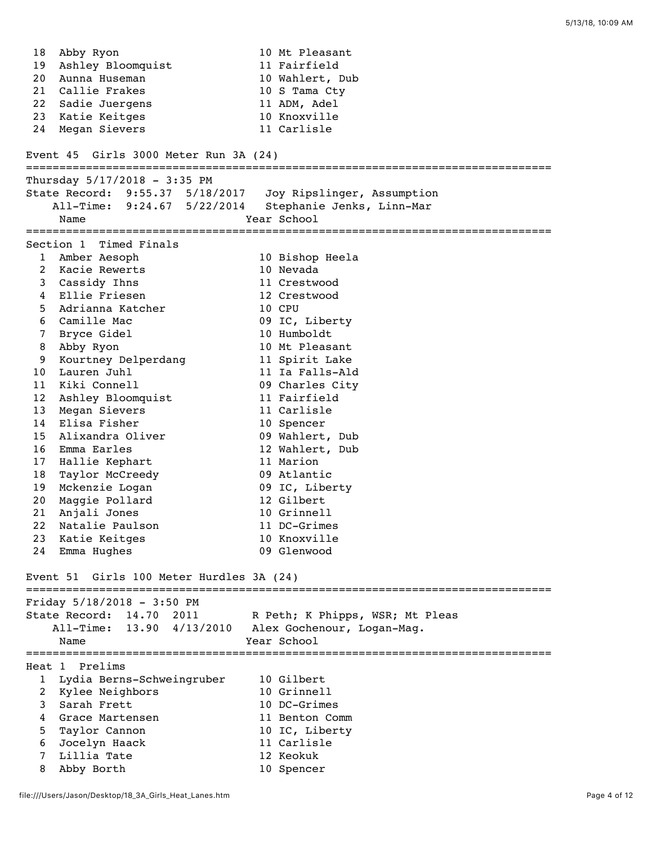18 Abby Ryon 10 Mt Pleasant 19 Ashley Bloomquist 11 Fairfield 20 Aunna Huseman 10 Wahlert, Dub 21 Callie Frakes 10 S Tama Cty 22 Sadie Juergens 11 ADM, Adel 23 Katie Keitges 10 Knoxville 24 Megan Sievers 11 Carlisle Event 45 Girls 3000 Meter Run 3A (24) =============================================================================== Thursday  $5/17/2018 - 3:35$  PM State Record: 9:55.37 5/18/2017 Joy Ripslinger, Assumption All-Time: 9:24.67 5/22/2014 Stephanie Jenks, Linn-Mar Name Year School =============================================================================== Section 1 Timed Finals 1 Amber Aesoph 10 Bishop Heela 2 Kacie Rewerts 10 Nevada 3 Cassidy Ihns 11 Crestwood 4 Ellie Friesen 12 Crestwood 5 Adrianna Katcher 10 CPU 6 Camille Mac 09 IC, Liberty 7 Bryce Gidel 10 Humboldt 8 Abby Ryon 10 Mt Pleasant 9 Kourtney Delperdang 11 Spirit Lake 10 Lauren Juhl 11 Ia Falls-Ald 11 Kiki Connell 09 Charles City 12 Ashley Bloomquist 11 Fairfield 13 Megan Sievers 11 Carlisle 14 Elisa Fisher 10 Spencer 15 Alixandra Oliver 09 Wahlert, Dub 16 Emma Earles 12 Wahlert, Dub 17 Hallie Kephart 11 Marion 18 Taylor McCreedy 09 Atlantic 19 Mckenzie Logan 09 IC, Liberty 20 Maggie Pollard 12 Gilbert 21 Anjali Jones 10 Grinnell 22 Natalie Paulson 11 DC-Grimes 23 Katie Keitges 10 Knoxville 24 Emma Hughes 09 Glenwood Event 51 Girls 100 Meter Hurdles 3A (24) =============================================================================== Friday 5/18/2018 - 3:50 PM State Record: 14.70 2011 R Peth; K Phipps, WSR; Mt Pleas All-Time: 13.90 4/13/2010 Alex Gochenour, Logan-Mag. Name Year School =============================================================================== Heat 1 Prelims 1 Lydia Berns-Schweingruber 10 Gilbert<br>2 Kylee Neighbors 10 Grinnell 2 Kylee Neighbors 10 Grinnell 3 Sarah Frett 10 DC-Grimes 4 Grace Martensen 11 Benton Comm 5 Taylor Cannon 10 IC, Liberty 6 Jocelyn Haack 11 Carlisle 7 Lillia Tate 12 Keokuk 8 Abby Borth 10 Spencer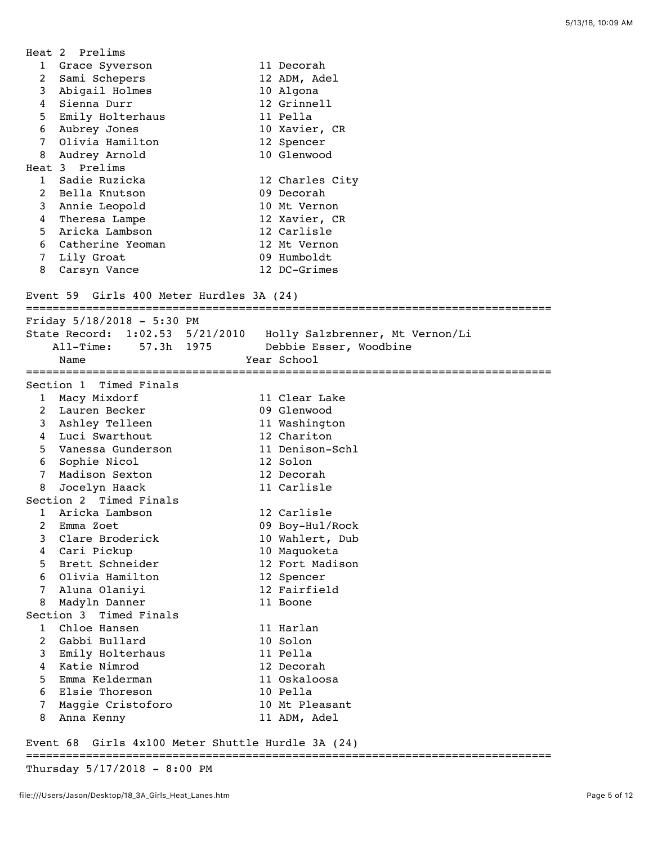|                 | Heat 2 Prelims                                      |                                 |
|-----------------|-----------------------------------------------------|---------------------------------|
|                 | 1 Grace Syverson                                    | 11 Decorah                      |
| $\overline{a}$  | Sami Schepers                                       | 12 ADM, Adel                    |
| 3               | Abigail Holmes                                      | 10 Algona                       |
| 4               | Sienna Durr                                         | 12 Grinnell                     |
| 5               | Emily Holterhaus                                    | 11 Pella                        |
| 6               | Aubrey Jones                                        | 10 Xavier, CR                   |
| 7               | Olivia Hamilton                                     | 12 Spencer                      |
|                 | 8 Audrey Arnold                                     | 10 Glenwood                     |
|                 | Heat 3 Prelims                                      |                                 |
|                 | 1 Sadie Ruzicka                                     | 12 Charles City                 |
| 2               | Bella Knutson                                       | 09 Decorah                      |
|                 | 3 Annie Leopold                                     | 10 Mt Vernon                    |
| 4               | Theresa Lampe                                       | 12 Xavier, CR                   |
| 5               | Aricka Lambson                                      | 12 Carlisle                     |
| 6               | Catherine Yeoman                                    | 12 Mt Vernon                    |
|                 | 7 Lily Groat                                        | 09 Humboldt                     |
| 8               | Carsyn Vance                                        | 12 DC-Grimes                    |
|                 |                                                     |                                 |
|                 | Event 59 Girls 400 Meter Hurdles 3A (24)            |                                 |
|                 |                                                     |                                 |
|                 | Friday 5/18/2018 - 5:30 PM                          |                                 |
|                 | State Record: 1:02.53 5/21/2010                     | Holly Salzbrenner, Mt Vernon/Li |
|                 | $All-Time:$<br>57.3h 1975                           | Debbie Esser, Woodbine          |
|                 | Name                                                | Year School                     |
|                 |                                                     |                                 |
|                 | Section 1 Timed Finals                              |                                 |
|                 | 1 Macy Mixdorf                                      | 11 Clear Lake                   |
|                 | 2 Lauren Becker                                     | 09 Glenwood                     |
|                 | 3 Ashley Telleen                                    | 11 Washington                   |
| 4               | Luci Swarthout                                      | 12 Chariton                     |
| 5               | Vanessa Gunderson                                   | 11 Denison-Schl                 |
| 6               | Sophie Nicol                                        | 12 Solon                        |
| $7\phantom{.0}$ | Madison Sexton                                      | 12 Decorah                      |
| 8               | Jocelyn Haack                                       | 11 Carlisle                     |
|                 | Section 2 Timed Finals                              |                                 |
| $\mathbf{1}$    | Aricka Lambson                                      | 12 Carlisle                     |
|                 | 2 Emma Zoet                                         | 09 Boy-Hul/Rock                 |
| 3               | Clare Broderick                                     | 10 Wahlert, Dub                 |
| 4               | Cari Pickup                                         | 10 Maquoketa                    |
| 5               | Brett Schneider                                     | 12 Fort Madison                 |
| 6               | Olivia Hamilton                                     | 12 Spencer                      |
| 7               | Aluna Olaniyi                                       | 12 Fairfield                    |
| 8               | Madyln Danner                                       | 11 Boone                        |
|                 | Section 3 Timed Finals                              |                                 |
| 1               | Chloe Hansen                                        | 11 Harlan                       |
| $\overline{2}$  | Gabbi Bullard                                       | 10 Solon                        |
| 3               | Emily Holterhaus                                    | 11 Pella                        |
| 4               | Katie Nimrod                                        | 12 Decorah                      |
| 5               | Emma Kelderman                                      | 11 Oskaloosa                    |
| 6               | Elsie Thoreson                                      | 10 Pella                        |
| 7               | Maggie Cristoforo                                   | 10 Mt Pleasant                  |
| 8               | Anna Kenny                                          | 11 ADM, Adel                    |
|                 |                                                     |                                 |
|                 | Event 68 Girls $4x100$ Meter Shuttle Hurdle 34 (24) |                                 |

## Event 68 Girls 4x100 Meter Shuttle Hurdle 3A (24) ===============================================================================

Thursday 5/17/2018 - 8:00 PM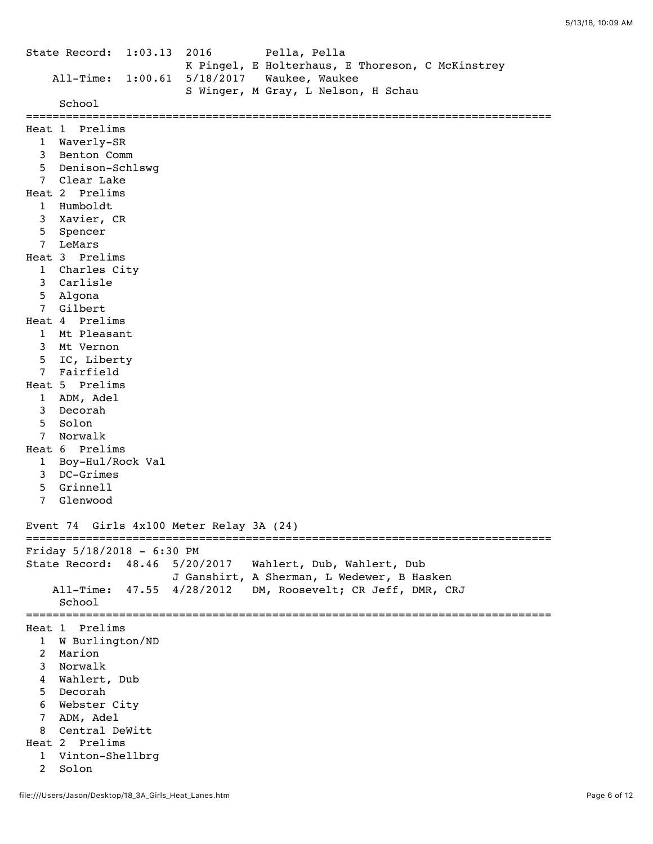State Record: 1:03.13 2016 Pella, Pella K Pingel, E Holterhaus, E Thoreson, C McKinstrey All-Time: 1:00.61 5/18/2017 Waukee, Waukee S Winger, M Gray, L Nelson, H Schau School =============================================================================== Heat 1 Prelims 1 Waverly-SR 3 Benton Comm 5 Denison-Schlswg 7 Clear Lake Heat 2 Prelims 1 Humboldt 3 Xavier, CR 5 Spencer 7 LeMars Heat 3 Prelims 1 Charles City 3 Carlisle 5 Algona 7 Gilbert Heat 4 Prelims 1 Mt Pleasant 3 Mt Vernon 5 IC, Liberty 7 Fairfield Heat 5 Prelims 1 ADM, Adel 3 Decorah 5 Solon 7 Norwalk Heat 6 Prelims 1 Boy-Hul/Rock Val 3 DC-Grimes 5 Grinnell 7 Glenwood Event 74 Girls 4x100 Meter Relay 3A (24) =============================================================================== Friday 5/18/2018 - 6:30 PM State Record: 48.46 5/20/2017 Wahlert, Dub, Wahlert, Dub J Ganshirt, A Sherman, L Wedewer, B Hasken All-Time: 47.55 4/28/2012 DM, Roosevelt; CR Jeff, DMR, CRJ School =============================================================================== Heat 1 Prelims 1 W Burlington/ND 2 Marion 3 Norwalk 4 Wahlert, Dub 5 Decorah 6 Webster City 7 ADM, Adel 8 Central DeWitt Heat 2 Prelims 1 Vinton-Shellbrg 2 Solon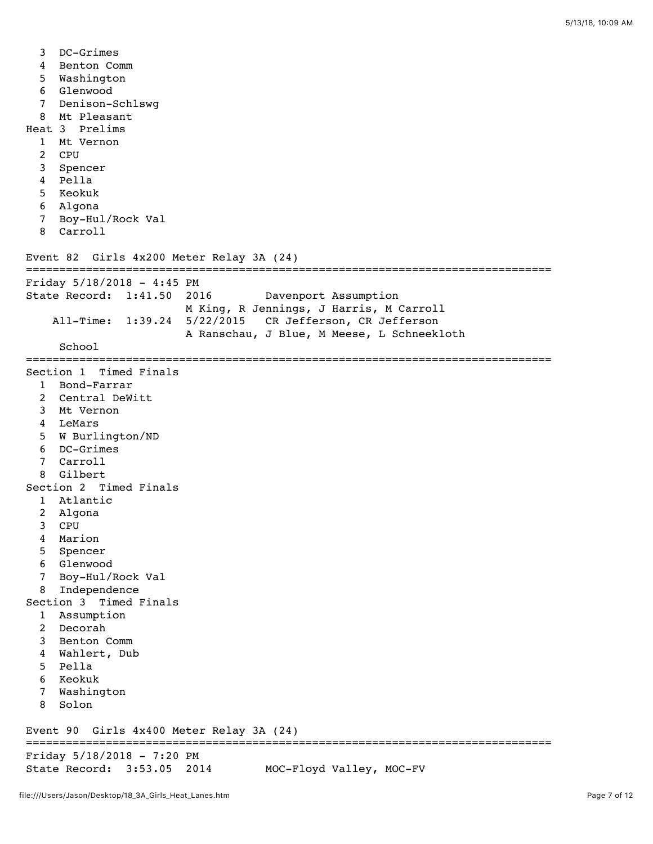3 DC-Grimes 4 Benton Comm 5 Washington 6 Glenwood 7 Denison-Schlswg 8 Mt Pleasant Heat 3 Prelims 1 Mt Vernon 2 CPU 3 Spencer 4 Pella 5 Keokuk 6 Algona 7 Boy-Hul/Rock Val 8 Carroll Event 82 Girls 4x200 Meter Relay 3A (24) =============================================================================== Friday  $5/18/2018 - 4:45$  PM State Record: 1:41.50 2016 Davenport Assumption M King, R Jennings, J Harris, M Carroll All-Time: 1:39.24 5/22/2015 CR Jefferson, CR Jefferson A Ranschau, J Blue, M Meese, L Schneekloth School =============================================================================== Section 1 Timed Finals 1 Bond-Farrar 2 Central DeWitt 3 Mt Vernon 4 LeMars 5 W Burlington/ND 6 DC-Grimes 7 Carroll 8 Gilbert Section 2 Timed Finals 1 Atlantic 2 Algona 3 CPU 4 Marion 5 Spencer 6 Glenwood 7 Boy-Hul/Rock Val 8 Independence Section 3 Timed Finals 1 Assumption 2 Decorah 3 Benton Comm 4 Wahlert, Dub 5 Pella 6 Keokuk 7 Washington 8 Solon Event 90 Girls 4x400 Meter Relay 3A (24) =============================================================================== Friday 5/18/2018 - 7:20 PM State Record: 3:53.05 2014 MOC-Floyd Valley, MOC-FV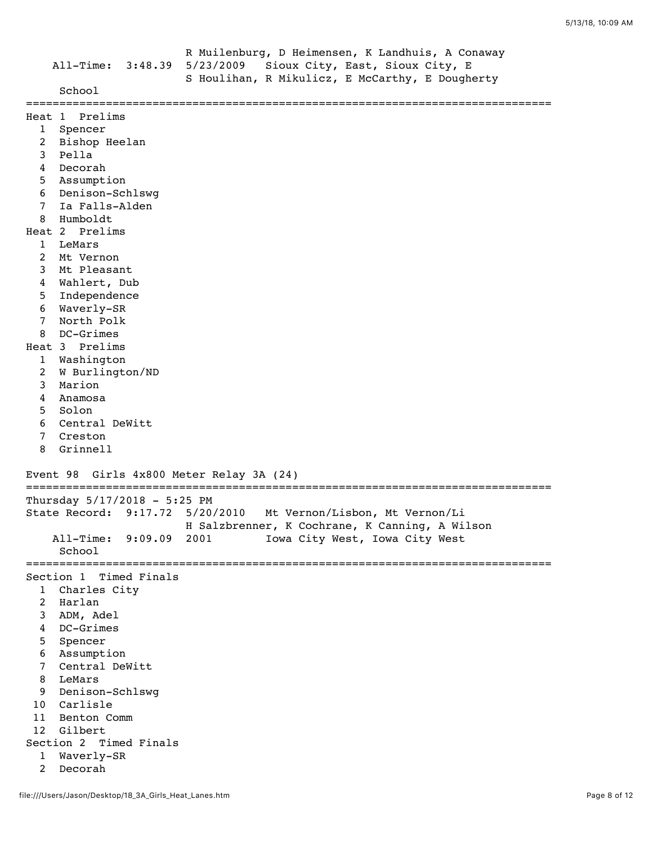|                 | All-Time: 3:48.39                        | R Muilenburg, D Heimensen, K Landhuis, A Conaway<br>5/23/2009 Sioux City, East, Sioux City, E<br>S Houlihan, R Mikulicz, E McCarthy, E Dougherty |
|-----------------|------------------------------------------|--------------------------------------------------------------------------------------------------------------------------------------------------|
|                 | School                                   |                                                                                                                                                  |
|                 | Heat 1 Prelims                           |                                                                                                                                                  |
|                 | 1 Spencer                                |                                                                                                                                                  |
| 2               | Bishop Heelan                            |                                                                                                                                                  |
| 3               | Pella                                    |                                                                                                                                                  |
| 4               | Decorah                                  |                                                                                                                                                  |
| 5               | Assumption                               |                                                                                                                                                  |
| 6               | Denison-Schlswg                          |                                                                                                                                                  |
| 7               | Ia Falls-Alden                           |                                                                                                                                                  |
| 8               | Humboldt                                 |                                                                                                                                                  |
|                 | Heat 2 Prelims                           |                                                                                                                                                  |
| $\mathbf{1}$    | LeMars                                   |                                                                                                                                                  |
| 2               | Mt Vernon                                |                                                                                                                                                  |
| 3               | Mt Pleasant                              |                                                                                                                                                  |
| 4               | Wahlert, Dub                             |                                                                                                                                                  |
| 5               | Independence                             |                                                                                                                                                  |
| 6               | Waverly-SR                               |                                                                                                                                                  |
| 7               | North Polk                               |                                                                                                                                                  |
| 8               | DC-Grimes                                |                                                                                                                                                  |
|                 | Heat 3 Prelims                           |                                                                                                                                                  |
| $\mathbf{1}$    | Washington                               |                                                                                                                                                  |
| 2               | W Burlington/ND                          |                                                                                                                                                  |
| 3               | Marion                                   |                                                                                                                                                  |
| 4               | Anamosa                                  |                                                                                                                                                  |
| 5               | Solon                                    |                                                                                                                                                  |
| 6               | Central DeWitt                           |                                                                                                                                                  |
| 7               | Creston                                  |                                                                                                                                                  |
| 8               | Grinnell                                 |                                                                                                                                                  |
|                 | Event 98 Girls 4x800 Meter Relay 3A (24) |                                                                                                                                                  |
|                 | Thursday 5/17/2018 - 5:25 PM             |                                                                                                                                                  |
|                 |                                          | State Record: 9:17.72 5/20/2010 Mt Vernon/Lisbon, Mt Vernon/Li                                                                                   |
|                 |                                          | H Salzbrenner, K Cochrane, K Canning, A Wilson                                                                                                   |
|                 | All-Time:<br>9:09.09                     | 2001<br>Iowa City West, Iowa City West                                                                                                           |
|                 | School                                   |                                                                                                                                                  |
|                 | Section 1 Timed Finals                   |                                                                                                                                                  |
| 1               | Charles City                             |                                                                                                                                                  |
| $\overline{2}$  | Harlan                                   |                                                                                                                                                  |
| 3               | ADM, Adel                                |                                                                                                                                                  |
| $\overline{4}$  | DC-Grimes                                |                                                                                                                                                  |
| 5               | Spencer                                  |                                                                                                                                                  |
| 6               | Assumption                               |                                                                                                                                                  |
| $\overline{7}$  | Central DeWitt                           |                                                                                                                                                  |
| 8               | LeMars                                   |                                                                                                                                                  |
| 9               | Denison-Schlswg                          |                                                                                                                                                  |
| 10 <sup>°</sup> | Carlisle                                 |                                                                                                                                                  |
| 11              | Benton Comm                              |                                                                                                                                                  |
| 12              | Gilbert                                  |                                                                                                                                                  |
|                 | Section 2 Timed Finals                   |                                                                                                                                                  |
| 1               | Waverly-SR                               |                                                                                                                                                  |

2 Decorah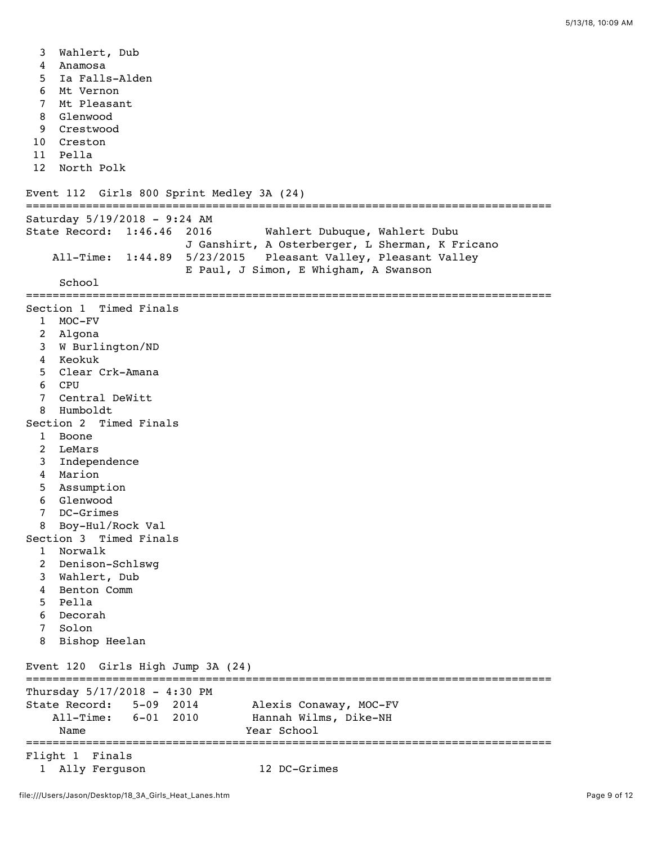3 Wahlert, Dub 4 Anamosa 5 Ia Falls-Alden 6 Mt Vernon 7 Mt Pleasant 8 Glenwood 9 Crestwood 10 Creston 11 Pella 12 North Polk Event 112 Girls 800 Sprint Medley 3A (24) =============================================================================== Saturday 5/19/2018 - 9:24 AM State Record: 1:46.46 2016 Wahlert Dubuque, Wahlert Dubu J Ganshirt, A Osterberger, L Sherman, K Fricano All-Time: 1:44.89 5/23/2015 Pleasant Valley, Pleasant Valley E Paul, J Simon, E Whigham, A Swanson School =============================================================================== Section 1 Timed Finals 1 MOC-FV 2 Algona 3 W Burlington/ND 4 Keokuk 5 Clear Crk-Amana 6 CPU 7 Central DeWitt 8 Humboldt Section 2 Timed Finals 1 Boone 2 LeMars 3 Independence 4 Marion 5 Assumption 6 Glenwood 7 DC-Grimes 8 Boy-Hul/Rock Val Section 3 Timed Finals 1 Norwalk 2 Denison-Schlswg 3 Wahlert, Dub 4 Benton Comm 5 Pella 6 Decorah 7 Solon 8 Bishop Heelan Event 120 Girls High Jump 3A (24) =============================================================================== Thursday 5/17/2018 - 4:30 PM State Record: 5-09 2014 Alexis Conaway, MOC-FV All-Time: 6-01 2010 Hannah Wilms, Dike-NH Name Year School =============================================================================== Flight 1 Finals

1 Ally Ferguson 12 DC-Grimes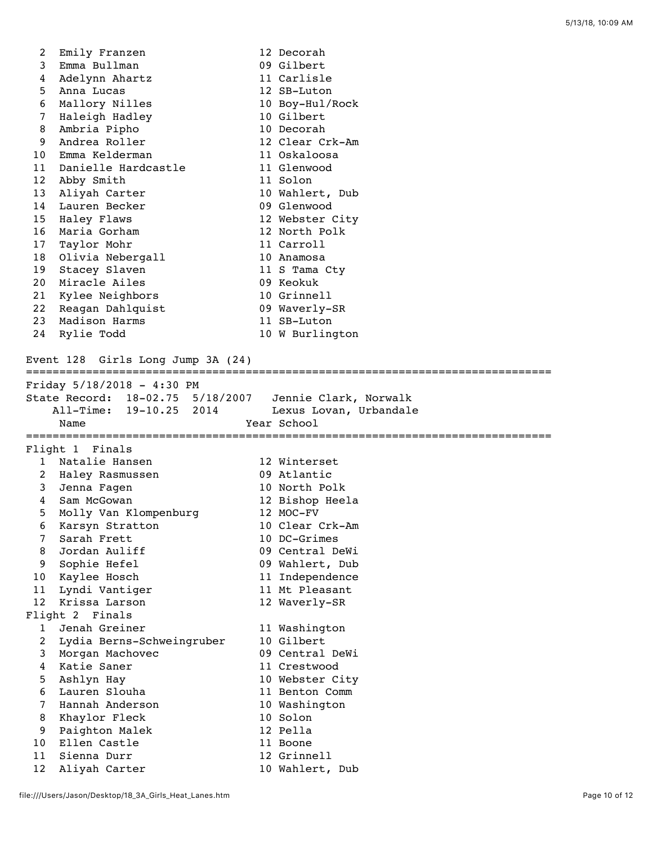| 2        | Emily Franzen                                          | 12 Decorah                     |
|----------|--------------------------------------------------------|--------------------------------|
| 3        | Emma Bullman                                           | 09 Gilbert                     |
| 4        | Adelynn Ahartz                                         | 11 Carlisle                    |
| 5        | Anna Lucas                                             | 12 SB-Luton                    |
| 6        | Mallory Nilles                                         | 10 Boy-Hul/Rock                |
| 7        | Haleigh Hadley                                         | 10 Gilbert                     |
| 8        | Ambria Pipho                                           | 10 Decorah                     |
| 9        | Andrea Roller                                          | 12 Clear Crk-Am                |
| 10       | Emma Kelderman                                         | 11 Oskaloosa                   |
| 11       | Danielle Hardcastle                                    | 11 Glenwood                    |
| 12       | Abby Smith                                             | 11 Solon                       |
| 13       | Aliyah Carter                                          | 10 Wahlert, Dub                |
| 14       | Lauren Becker                                          | 09 Glenwood                    |
| 15       | Haley Flaws                                            | 12 Webster City                |
| 16       | Maria Gorham                                           | 12 North Polk                  |
| 17       | Taylor Mohr                                            | 11 Carroll                     |
| 18       | Olivia Nebergall                                       | 10 Anamosa                     |
| 19       | Stacey Slaven                                          | 11 S Tama Cty                  |
| 20       | Miracle Ailes                                          | 09 Keokuk                      |
| 21       | Kylee Neighbors                                        | 10 Grinnell                    |
| 22       | Reagan Dahlquist                                       | 09 Waverly-SR                  |
| 23       | Madison Harms                                          | 11 SB-Luton                    |
| 24       | Rylie Todd                                             | 10 W Burlington                |
|          | Event 128 Girls Long Jump 3A (24)                      |                                |
|          | Friday 5/18/2018 - 4:30 PM                             |                                |
|          | State Record: 18-02.75 5/18/2007 Jennie Clark, Norwalk |                                |
|          |                                                        |                                |
|          | All-Time: 19-10.25 2014                                | Lexus Lovan, Urbandale         |
|          | Name                                                   | Year School                    |
|          |                                                        |                                |
|          | Flight 1 Finals                                        |                                |
| 1        | Natalie Hansen                                         | 12 Winterset                   |
| 2        | Haley Rasmussen                                        | 09 Atlantic                    |
| 3        | Jenna Fagen                                            | 10 North Polk                  |
| 4        | Sam McGowan                                            | 12 Bishop Heela                |
| 5        | Molly Van Klompenburg                                  | 12 MOC-FV                      |
| 6        | Karsyn Stratton                                        | 10 Clear Crk-Am                |
| 7        | Sarah Frett                                            | 10 DC-Grimes                   |
| 8        | Jordan Auliff                                          | 09 Central DeWi                |
| 9        | Sophie Hefel                                           | 09 Wahlert, Dub                |
| 10       | Kaylee Hosch                                           | 11 Independence                |
| 11       | Lyndi Vantiger                                         | 11 Mt Pleasant                 |
| 12       | Krissa Larson                                          | 12 Waverly-SR                  |
|          | Flight 2 Finals                                        |                                |
| 1        | Jenah Greiner                                          | 11 Washington                  |
| 2        | Lydia Berns-Schweingruber                              | 10 Gilbert                     |
| 3        | Morgan Machovec                                        | 09 Central DeWi                |
| 4        | Katie Saner                                            | 11 Crestwood                   |
| 5        | Ashlyn Hay                                             | 10 Webster City                |
| 6        | Lauren Slouha                                          | 11 Benton Comm                 |
| 7        | Hannah Anderson                                        | 10 Washington                  |
| 8        | Khaylor Fleck                                          | 10 Solon                       |
| 9        | Paighton Malek                                         | 12 Pella                       |
| 10       | Ellen Castle                                           | 11 Boone                       |
| 11<br>12 | Sienna Durr<br>Aliyah Carter                           | 12 Grinnell<br>10 Wahlert, Dub |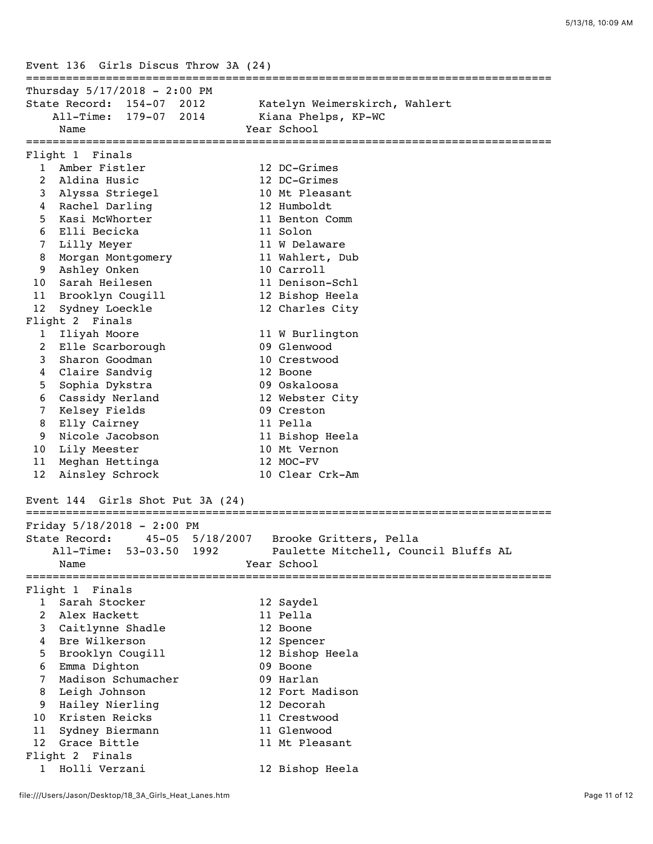Event 136 Girls Discus Throw 3A (24) =============================================================================== Thursday 5/17/2018 - 2:00 PM State Record: 154-07 2012 Katelyn Weimerskirch, Wahlert All-Time: 179-07 2014 Kiana Phelps, KP-WC Name **Year** School =============================================================================== Flight 1 Finals 1 Amber Fistler 12 DC-Grimes 2 Aldina Husic 12 DC-Grimes 3 Alyssa Striegel 10 Mt Pleasant 4 Rachel Darling 12 Humboldt 5 Kasi McWhorter 11 Benton Comm 6 Elli Becicka 11 Solon 7 Lilly Meyer 11 W Delaware 8 Morgan Montgomery 11 Wahlert, Dub 9 Ashley Onken 10 Carroll 10 Sarah Heilesen 11 Denison-Schl 11 Brooklyn Cougill 12 Bishop Heela 12 Sydney Loeckle 12 Charles City Flight 2 Finals 1 Iliyah Moore 11 W Burlington 2 Elle Scarborough 09 Glenwood 3 Sharon Goodman 10 Crestwood 4 Claire Sandvig 12 Boone 5 Sophia Dykstra 09 Oskaloosa 6 Cassidy Nerland 12 Webster City 7 Kelsey Fields 09 Creston 8 Elly Cairney 11 Pella 9 Nicole Jacobson 11 Bishop Heela 10 Lily Meester 10 Mt Vernon 11 Meghan Hettinga 12 MOC-FV 12 Ainsley Schrock 10 Clear Crk-Am Event 144 Girls Shot Put 3A (24) =============================================================================== Friday 5/18/2018 - 2:00 PM State Record: 45-05 5/18/2007 Brooke Gritters, Pella All-Time: 53-03.50 1992 Paulette Mitchell, Council Bluffs AL Name Year School =============================================================================== Flight 1 Finals 1 Sarah Stocker 12 Saydel 2 Alex Hackett 11 Pella 3 Caitlynne Shadle 12 Boone 4 Bre Wilkerson and 12 Spencer 5 Brooklyn Cougill 12 Bishop Heela 6 Emma Dighton 09 Boone 7 Madison Schumacher 09 Harlan 8 Leigh Johnson 12 Fort Madison 9 Hailey Nierling 12 Decorah 10 Kristen Reicks 11 Crestwood 11 Sydney Biermann 11 Glenwood 12 Grace Bittle 11 Mt Pleasant Flight 2 Finals 1 Holli Verzani 12 Bishop Heela